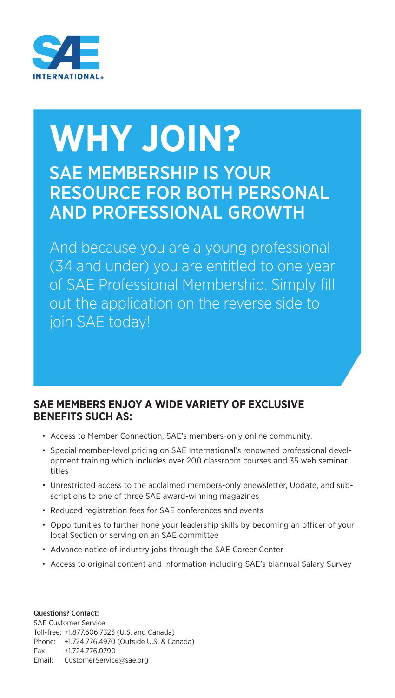

## **WHY JOIN?** SAE MEMBERSHIP IS YOUR RESOURCE FOR BOTH PERSONAL AND PROFESSIONAL GROWTH

And because you are a young professional (34 and under) you are entitled to one year of SAE Professional Membership. Simply fill out the application on the reverse side to join SAE today!

## **SAE MEMBERS ENJOY A WIDE VARIETY OF EXCLUSIVE BENEFITS SUCH AS:**

- Access to Member Connection, SAE's members-only online community.
- Special member-level pricing on SAE International's renowned professional development training which includes over 200 classroom courses and 35 web seminar titles
- Unrestricted access to the acclaimed members-only enewsletter, Update, and subscriptions to one of three SAE award-winning magazines
- Reduced registration fees for SAE conferences and events
- Opportunities to further hone your leadership skills by becoming an officer of your local Section or serving on an SAE committee
- Advance notice of industry jobs through the SAE Career Center
- Access to original content and information including SAE's biannual Salary Survey

Questions? Contact: SAE Customer Service Toll-free: +1.877.606.7323 (U.S. and Canada) Phone: +1.724.776.4970 (Outside U.S. & Canada) Fax: +1.724.776.0790 Email: CustomerService@sae.org